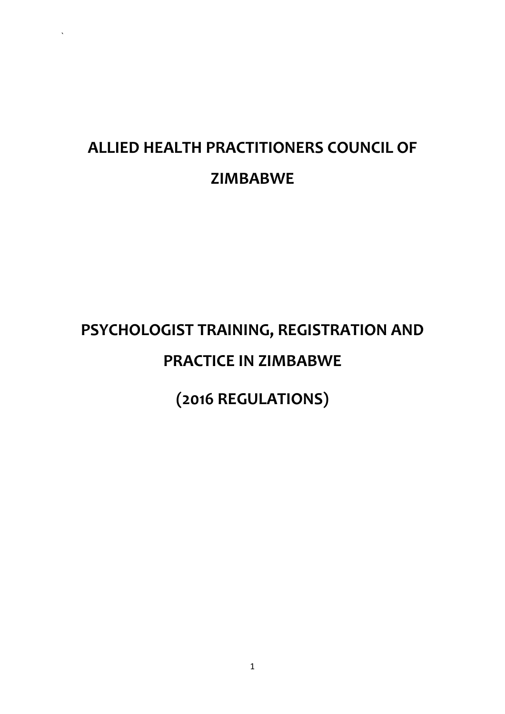# **ALLIED HEALTH PRACTITIONERS COUNCIL OF ZIMBABWE**

`

# **PSYCHOLOGIST TRAINING, REGISTRATION AND PRACTICE IN ZIMBABWE**

**(2016 REGULATIONS)**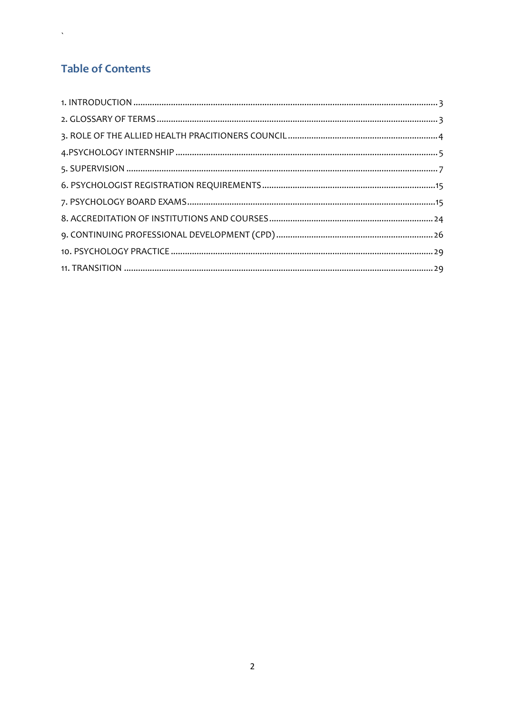# **Table of Contents**

 $\Delta \sim 10^{11}$  mass  $^{-1}$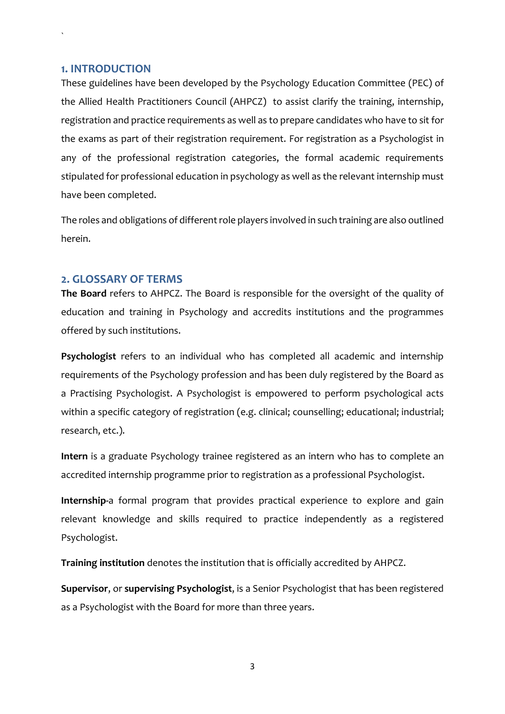#### <span id="page-2-0"></span>**1. INTRODUCTION**

`

These guidelines have been developed by the Psychology Education Committee (PEC) of the Allied Health Practitioners Council (AHPCZ) to assist clarify the training, internship, registration and practice requirements as well as to prepare candidates who have to sit for the exams as part of their registration requirement. For registration as a Psychologist in any of the professional registration categories, the formal academic requirements stipulated for professional education in psychology as well as the relevant internship must have been completed.

The roles and obligations of different role players involved in such training are also outlined herein.

#### <span id="page-2-1"></span>**2. GLOSSARY OF TERMS**

**The Board** refers to AHPCZ. The Board is responsible for the oversight of the quality of education and training in Psychology and accredits institutions and the programmes offered by such institutions.

**Psychologist** refers to an individual who has completed all academic and internship requirements of the Psychology profession and has been duly registered by the Board as a Practising Psychologist. A Psychologist is empowered to perform psychological acts within a specific category of registration (e.g. clinical; counselling; educational; industrial; research, etc.).

**Intern** is a graduate Psychology trainee registered as an intern who has to complete an accredited internship programme prior to registration as a professional Psychologist.

**Internship-**a formal program that provides practical experience to explore and gain relevant knowledge and skills required to practice independently as a registered Psychologist.

**Training institution** denotes the institution that is officially accredited by AHPCZ.

**Supervisor**, or **supervising Psychologist**, is a Senior Psychologist that has been registered as a Psychologist with the Board for more than three years.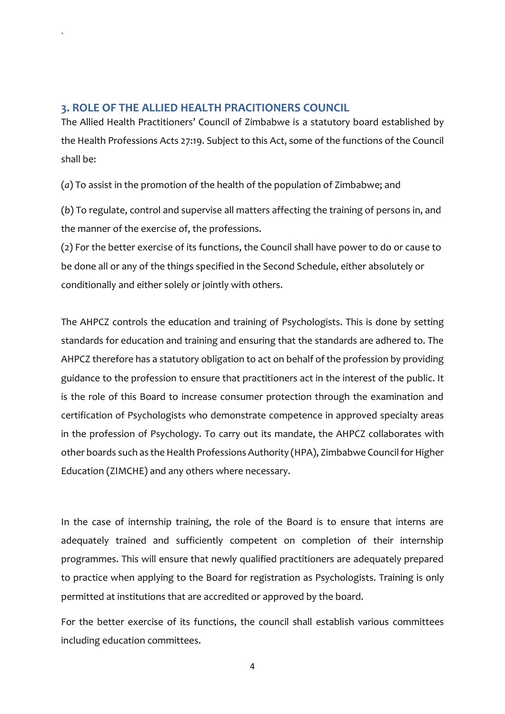# <span id="page-3-0"></span>**3. ROLE OF THE ALLIED HEALTH PRACITIONERS COUNCIL**

`

The Allied Health Practitioners' Council of Zimbabwe is a statutory board established by the Health Professions Acts 27:19. Subject to this Act, some of the functions of the Council shall be:

(*a*) To assist in the promotion of the health of the population of Zimbabwe; and

(*b*) To regulate, control and supervise all matters affecting the training of persons in, and the manner of the exercise of, the professions.

(2) For the better exercise of its functions, the Council shall have power to do or cause to be done all or any of the things specified in the Second Schedule, either absolutely or conditionally and either solely or jointly with others.

The AHPCZ controls the education and training of Psychologists. This is done by setting standards for education and training and ensuring that the standards are adhered to. The AHPCZ therefore has a statutory obligation to act on behalf of the profession by providing guidance to the profession to ensure that practitioners act in the interest of the public. It is the role of this Board to increase consumer protection through the examination and certification of Psychologists who demonstrate competence in approved specialty areas in the profession of Psychology. To carry out its mandate, the AHPCZ collaborates with other boards such as the Health Professions Authority (HPA)[, Zimbabwe Council for Higher](http://www.zimche.ac.zw/)  [Education \(ZIMCHE\)](http://www.zimche.ac.zw/) and any others where necessary.

In the case of internship training, the role of the Board is to ensure that interns are adequately trained and sufficiently competent on completion of their internship programmes. This will ensure that newly qualified practitioners are adequately prepared to practice when applying to the Board for registration as Psychologists. Training is only permitted at institutions that are accredited or approved by the board.

For the better exercise of its functions, the council shall establish various committees including education committees.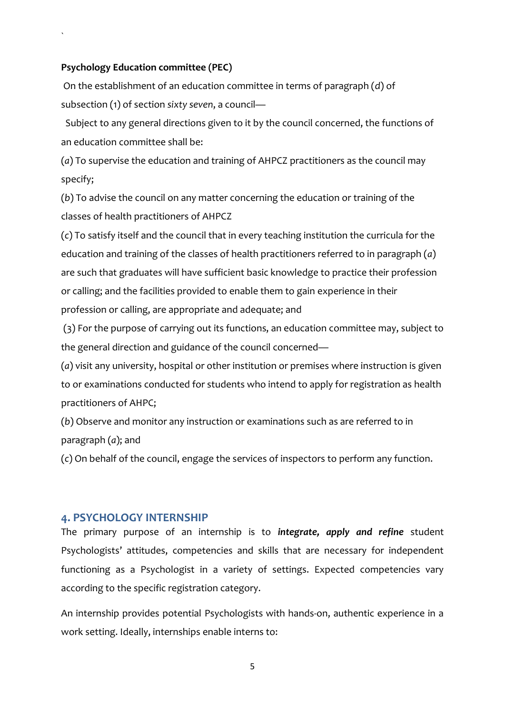#### **Psychology Education committee (PEC)**

`

On the establishment of an education committee in terms of paragraph (*d*) of subsection (1) of section *sixty seven*, a council—

 Subject to any general directions given to it by the council concerned, the functions of an education committee shall be:

(*a*) To supervise the education and training of AHPCZ practitioners as the council may specify;

(*b*) To advise the council on any matter concerning the education or training of the classes of health practitioners of AHPCZ

(*c*) To satisfy itself and the council that in every teaching institution the curricula for the education and training of the classes of health practitioners referred to in paragraph (*a*) are such that graduates will have sufficient basic knowledge to practice their profession or calling; and the facilities provided to enable them to gain experience in their profession or calling, are appropriate and adequate; and

(3) For the purpose of carrying out its functions, an education committee may, subject to the general direction and guidance of the council concerned—

(*a*) visit any university, hospital or other institution or premises where instruction is given to or examinations conducted for students who intend to apply for registration as health practitioners of AHPC;

(*b*) Observe and monitor any instruction or examinations such as are referred to in paragraph (*a*); and

(*c*) On behalf of the council, engage the services of inspectors to perform any function.

#### <span id="page-4-0"></span>**4. PSYCHOLOGY INTERNSHIP**

The primary purpose of an internship is to *integrate, apply and refine* student Psychologists' attitudes, competencies and skills that are necessary for independent functioning as a Psychologist in a variety of settings. Expected competencies vary according to the specific registration category.

An internship provides potential Psychologists with hands-on, authentic experience in a work setting. Ideally, internships enable interns to: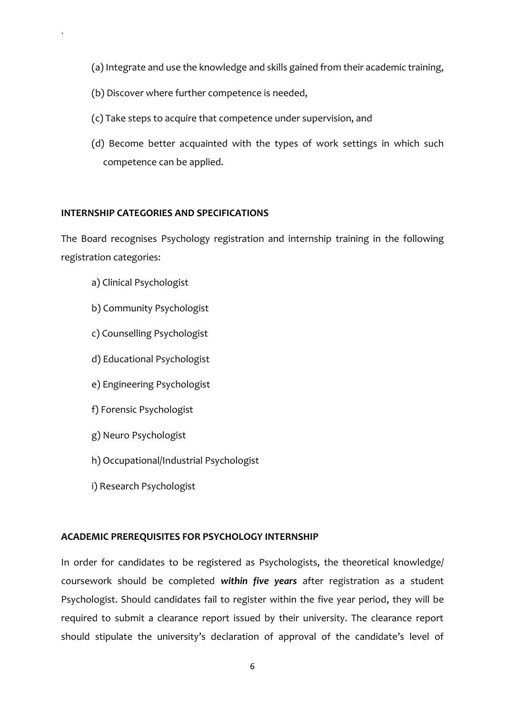- (a) Integrate and use the knowledge and skills gained from their academic training,
- (b) Discover where further competence is needed,
- (c) Take steps to acquire that competence under supervision, and
- (d) Become better acquainted with the types of work settings in which such competence can be applied.

#### **INTERNSHIP CATEGORIES AND SPECIFICATIONS**

The Board recognises Psychology registration and internship training in the following registration categories:

a) Clinical Psychologist

`

- b) Community Psychologist
- c) Counselling Psychologist
- d) Educational Psychologist
- e) Engineering Psychologist
- f) Forensic Psychologist
- g) Neuro Psychologist
- h) Occupational/Industrial Psychologist
- i) Research Psychologist

#### **ACADEMIC PREREQUISITES FOR PSYCHOLOGY INTERNSHIP**

In order for candidates to be registered as Psychologists, the theoretical knowledge/ coursework should be completed *within five years* after registration as a student Psychologist. Should candidates fail to register within the five year period, they will be required to submit a clearance report issued by their university. The clearance report should stipulate the university's declaration of approval of the candidate's level of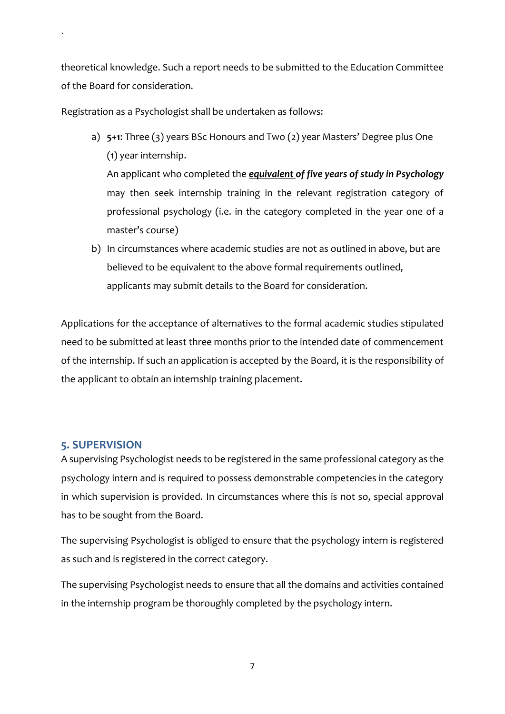theoretical knowledge. Such a report needs to be submitted to the Education Committee of the Board for consideration.

Registration as a Psychologist shall be undertaken as follows:

a) **5+1**: Three (3) years BSc Honours and Two (2) year Masters' Degree plus One (1) year internship.

An applicant who completed the *equivalent of five years of study in Psychology* may then seek internship training in the relevant registration category of professional psychology (i.e. in the category completed in the year one of a master's course)

b) In circumstances where academic studies are not as outlined in above, but are believed to be equivalent to the above formal requirements outlined, applicants may submit details to the Board for consideration.

Applications for the acceptance of alternatives to the formal academic studies stipulated need to be submitted at least three months prior to the intended date of commencement of the internship. If such an application is accepted by the Board, it is the responsibility of the applicant to obtain an internship training placement.

# <span id="page-6-0"></span>**5. SUPERVISION**

`

A supervising Psychologist needs to be registered in the same professional category as the psychology intern and is required to possess demonstrable competencies in the category in which supervision is provided. In circumstances where this is not so, special approval has to be sought from the Board.

The supervising Psychologist is obliged to ensure that the psychology intern is registered as such and is registered in the correct category.

The supervising Psychologist needs to ensure that all the domains and activities contained in the internship program be thoroughly completed by the psychology intern.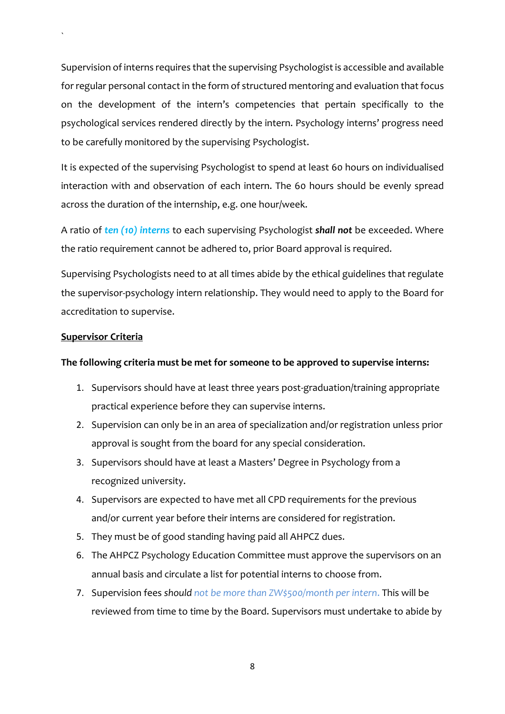Supervision of interns requires that the supervising Psychologist is accessible and available for regular personal contact in the form of structured mentoring and evaluation that focus on the development of the intern's competencies that pertain specifically to the psychological services rendered directly by the intern. Psychology interns' progress need to be carefully monitored by the supervising Psychologist.

It is expected of the supervising Psychologist to spend at least 60 hours on individualised interaction with and observation of each intern. The 60 hours should be evenly spread across the duration of the internship, e.g. one hour/week.

A ratio of *ten (10) interns* to each supervising Psychologist *shall not* be exceeded. Where the ratio requirement cannot be adhered to, prior Board approval is required.

Supervising Psychologists need to at all times abide by the ethical guidelines that regulate the supervisor-psychology intern relationship. They would need to apply to the Board for accreditation to supervise.

#### **Supervisor Criteria**

`

#### **The following criteria must be met for someone to be approved to supervise interns:**

- 1. Supervisors should have at least three years post-graduation/training appropriate practical experience before they can supervise interns.
- 2. Supervision can only be in an area of specialization and/or registration unless prior approval is sought from the board for any special consideration.
- 3. Supervisors should have at least a Masters' Degree in Psychology from a recognized university.
- 4. Supervisors are expected to have met all CPD requirements for the previous and/or current year before their interns are considered for registration.
- 5. They must be of good standing having paid all AHPCZ dues.
- 6. The AHPCZ Psychology Education Committee must approve the supervisors on an annual basis and circulate a list for potential interns to choose from.
- 7. Supervision fees *should not be more than ZW\$500/month per intern*. This will be reviewed from time to time by the Board. Supervisors must undertake to abide by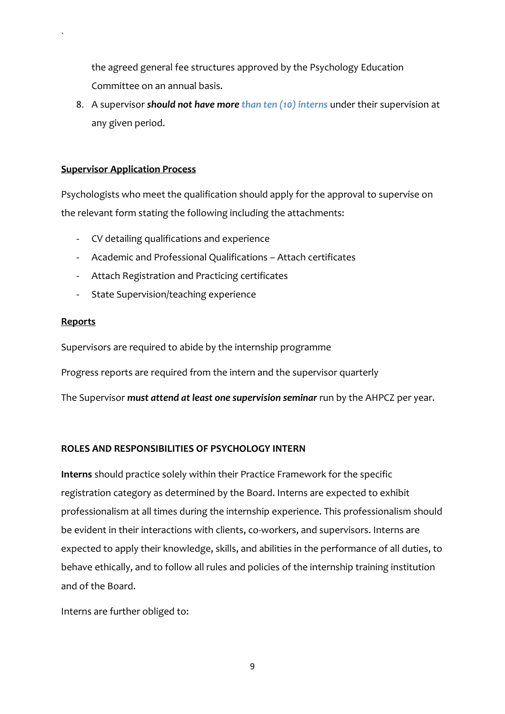the agreed general fee structures approved by the Psychology Education Committee on an annual basis.

8. A supervisor *should not have more than ten (10) interns* under their supervision at any given period.

#### **Supervisor Application Process**

Psychologists who meet the qualification should apply for the approval to supervise on the relevant form stating the following including the attachments:

- CV detailing qualifications and experience
- Academic and Professional Qualifications Attach certificates
- Attach Registration and Practicing certificates
- State Supervision/teaching experience

#### **Reports**

`

Supervisors are required to abide by the internship programme

Progress reports are required from the intern and the supervisor quarterly

The Supervisor *must attend at least one supervision seminar* run by the AHPCZ per year.

#### **ROLES AND RESPONSIBILITIES OF PSYCHOLOGY INTERN**

**Interns** should practice solely within their Practice Framework for the specific registration category as determined by the Board. Interns are expected to exhibit professionalism at all times during the internship experience. This professionalism should be evident in their interactions with clients, co-workers, and supervisors. Interns are expected to apply their knowledge, skills, and abilities in the performance of all duties, to behave ethically, and to follow all rules and policies of the internship training institution and of the Board.

Interns are further obliged to: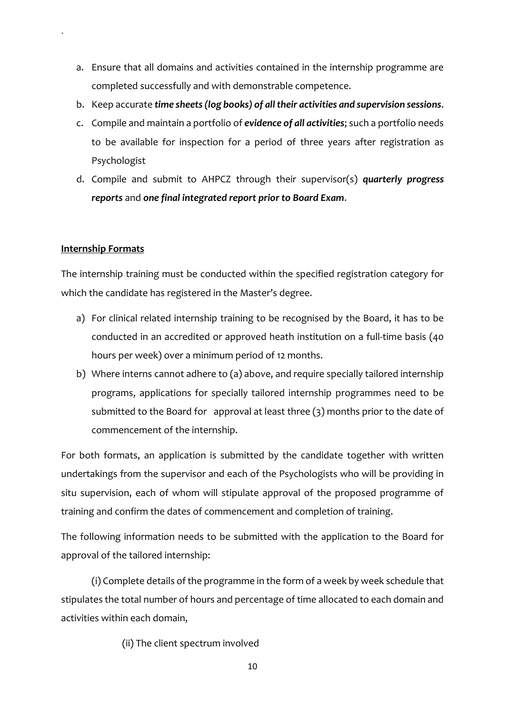- a. Ensure that all domains and activities contained in the internship programme are completed successfully and with demonstrable competence.
- b. Keep accurate *time sheets (log books) of all their activities and supervision sessions*.
- c. Compile and maintain a portfolio of *evidence of all activities*; such a portfolio needs to be available for inspection for a period of three years after registration as Psychologist
- d. Compile and submit to AHPCZ through their supervisor(s) *quarterly progress reports* and *one final integrated report prior to Board Exam*.

#### **Internship Formats**

`

The internship training must be conducted within the specified registration category for which the candidate has registered in the Master's degree.

- a) For clinical related internship training to be recognised by the Board, it has to be conducted in an accredited or approved heath institution on a full-time basis (40 hours per week) over a minimum period of 12 months.
- b) Where interns cannot adhere to (a) above, and require specially tailored internship programs, applications for specially tailored internship programmes need to be submitted to the Board for approval at least three  $(3)$  months prior to the date of commencement of the internship.

For both formats, an application is submitted by the candidate together with written undertakings from the supervisor and each of the Psychologists who will be providing in situ supervision, each of whom will stipulate approval of the proposed programme of training and confirm the dates of commencement and completion of training.

The following information needs to be submitted with the application to the Board for approval of the tailored internship:

(i) Complete details of the programme in the form of a week by week schedule that stipulates the total number of hours and percentage of time allocated to each domain and activities within each domain,

(ii) The client spectrum involved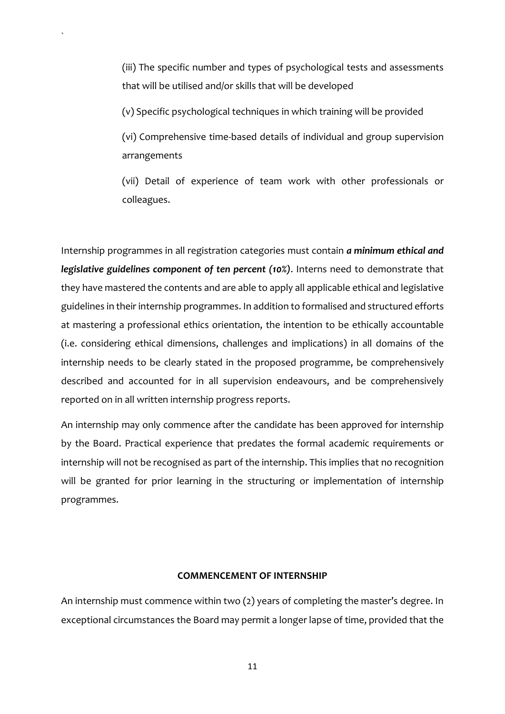(iii) The specific number and types of psychological tests and assessments that will be utilised and/or skills that will be developed

(v) Specific psychological techniques in which training will be provided

`

(vi) Comprehensive time-based details of individual and group supervision arrangements

(vii) Detail of experience of team work with other professionals or colleagues.

Internship programmes in all registration categories must contain *a minimum ethical and legislative guidelines component of ten percent (10%)*. Interns need to demonstrate that they have mastered the contents and are able to apply all applicable ethical and legislative guidelines in their internship programmes. In addition to formalised and structured efforts at mastering a professional ethics orientation, the intention to be ethically accountable (i.e. considering ethical dimensions, challenges and implications) in all domains of the internship needs to be clearly stated in the proposed programme, be comprehensively described and accounted for in all supervision endeavours, and be comprehensively reported on in all written internship progress reports.

An internship may only commence after the candidate has been approved for internship by the Board. Practical experience that predates the formal academic requirements or internship will not be recognised as part of the internship. This implies that no recognition will be granted for prior learning in the structuring or implementation of internship programmes.

#### **COMMENCEMENT OF INTERNSHIP**

An internship must commence within two (2) years of completing the master's degree. In exceptional circumstances the Board may permit a longer lapse of time, provided that the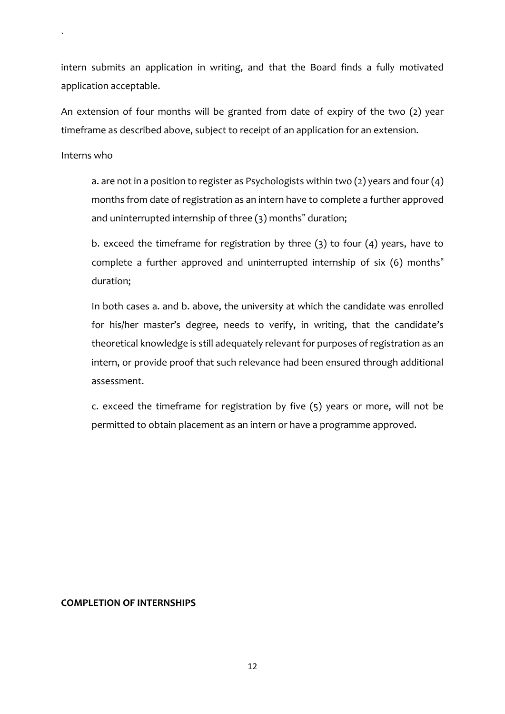intern submits an application in writing, and that the Board finds a fully motivated application acceptable.

An extension of four months will be granted from date of expiry of the two (2) year timeframe as described above, subject to receipt of an application for an extension.

Interns who

`

a. are not in a position to register as Psychologists within two (2) years and four (4) months from date of registration as an intern have to complete a further approved and uninterrupted internship of three (3) months" duration;

b. exceed the timeframe for registration by three (3) to four (4) years, have to complete a further approved and uninterrupted internship of six (6) months" duration;

In both cases a. and b. above, the university at which the candidate was enrolled for his/her master's degree, needs to verify, in writing, that the candidate's theoretical knowledge is still adequately relevant for purposes of registration as an intern, or provide proof that such relevance had been ensured through additional assessment.

c. exceed the timeframe for registration by five (5) years or more, will not be permitted to obtain placement as an intern or have a programme approved.

#### **COMPLETION OF INTERNSHIPS**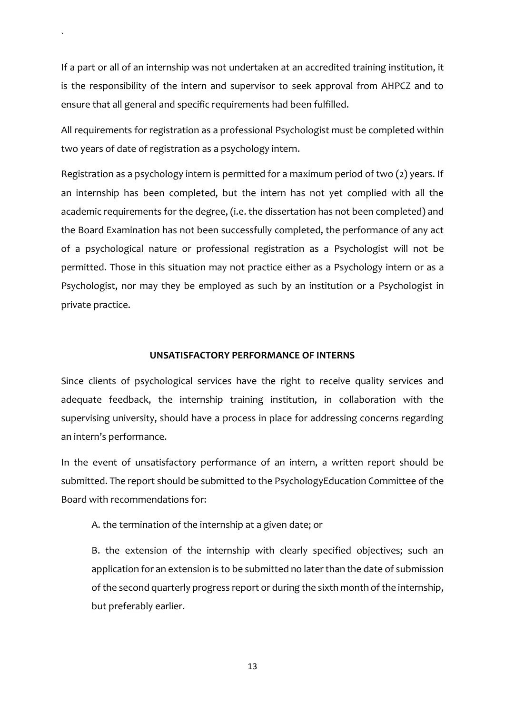If a part or all of an internship was not undertaken at an accredited training institution, it is the responsibility of the intern and supervisor to seek approval from AHPCZ and to ensure that all general and specific requirements had been fulfilled.

`

All requirements for registration as a professional Psychologist must be completed within two years of date of registration as a psychology intern.

Registration as a psychology intern is permitted for a maximum period of two (2) years. If an internship has been completed, but the intern has not yet complied with all the academic requirements for the degree, (i.e. the dissertation has not been completed) and the Board Examination has not been successfully completed, the performance of any act of a psychological nature or professional registration as a Psychologist will not be permitted. Those in this situation may not practice either as a Psychology intern or as a Psychologist, nor may they be employed as such by an institution or a Psychologist in private practice.

#### **UNSATISFACTORY PERFORMANCE OF INTERNS**

Since clients of psychological services have the right to receive quality services and adequate feedback, the internship training institution, in collaboration with the supervising university, should have a process in place for addressing concerns regarding an intern's performance.

In the event of unsatisfactory performance of an intern, a written report should be submitted. The report should be submitted to the PsychologyEducation Committee of the Board with recommendations for:

A. the termination of the internship at a given date; or

B. the extension of the internship with clearly specified objectives; such an application for an extension is to be submitted no later than the date of submission of the second quarterly progress report or during the sixth month of the internship, but preferably earlier.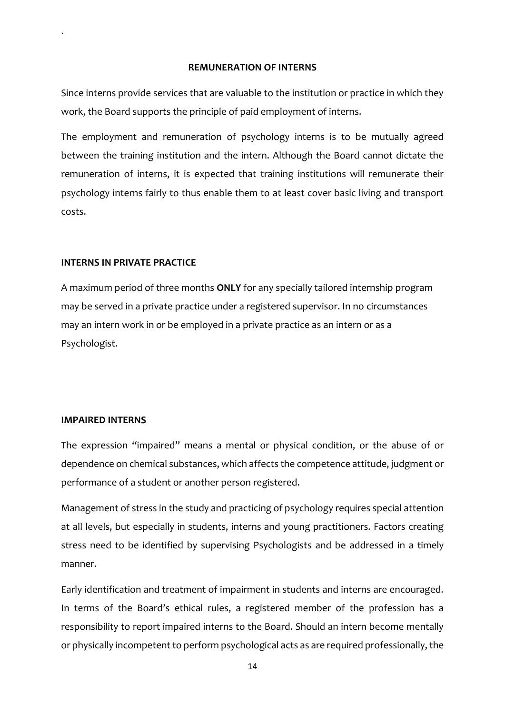#### **REMUNERATION OF INTERNS**

Since interns provide services that are valuable to the institution or practice in which they work, the Board supports the principle of paid employment of interns.

The employment and remuneration of psychology interns is to be mutually agreed between the training institution and the intern. Although the Board cannot dictate the remuneration of interns, it is expected that training institutions will remunerate their psychology interns fairly to thus enable them to at least cover basic living and transport costs.

#### **INTERNS IN PRIVATE PRACTICE**

`

A maximum period of three months **ONLY** for any specially tailored internship program may be served in a private practice under a registered supervisor. In no circumstances may an intern work in or be employed in a private practice as an intern or as a Psychologist.

#### **IMPAIRED INTERNS**

The expression "impaired" means a mental or physical condition, or the abuse of or dependence on chemical substances, which affects the competence attitude, judgment or performance of a student or another person registered.

Management of stress in the study and practicing of psychology requires special attention at all levels, but especially in students, interns and young practitioners. Factors creating stress need to be identified by supervising Psychologists and be addressed in a timely manner.

Early identification and treatment of impairment in students and interns are encouraged. In terms of the Board's ethical rules, a registered member of the profession has a responsibility to report impaired interns to the Board. Should an intern become mentally or physically incompetent to perform psychological acts as are required professionally, the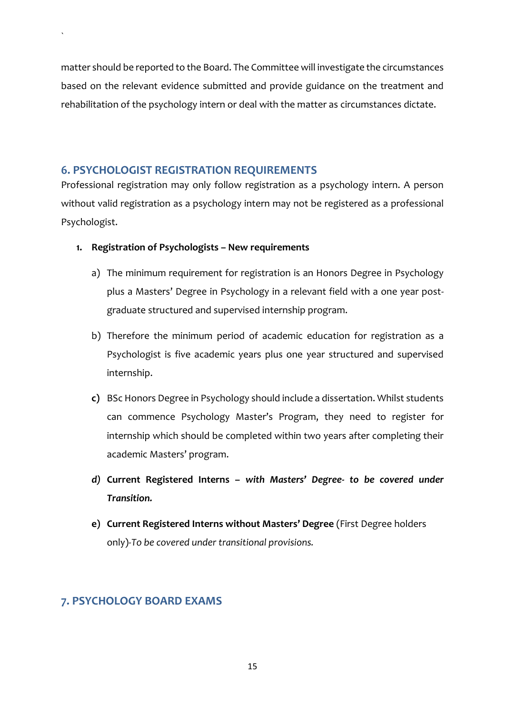matter should be reported to the Board. The Committee will investigate the circumstances based on the relevant evidence submitted and provide guidance on the treatment and rehabilitation of the psychology intern or deal with the matter as circumstances dictate.

# <span id="page-14-0"></span>**6. PSYCHOLOGIST REGISTRATION REQUIREMENTS**

`

Professional registration may only follow registration as a psychology intern. A person without valid registration as a psychology intern may not be registered as a professional Psychologist.

- **1. Registration of Psychologists – New requirements**
	- a) The minimum requirement for registration is an Honors Degree in Psychology plus a Masters' Degree in Psychology in a relevant field with a one year postgraduate structured and supervised internship program.
	- b) Therefore the minimum period of academic education for registration as a Psychologist is five academic years plus one year structured and supervised internship.
	- **c)** BSc Honors Degree in Psychology should include a dissertation. Whilst students can commence Psychology Master's Program, they need to register for internship which should be completed within two years after completing their academic Masters' program.
	- *d)* **Current Registered Interns –** *with Masters' Degree- to be covered under Transition.*
	- **e) Current Registered Interns without Masters' Degree** (First Degree holders only)-*To be covered under transitional provisions.*

# <span id="page-14-1"></span>**7. PSYCHOLOGY BOARD EXAMS**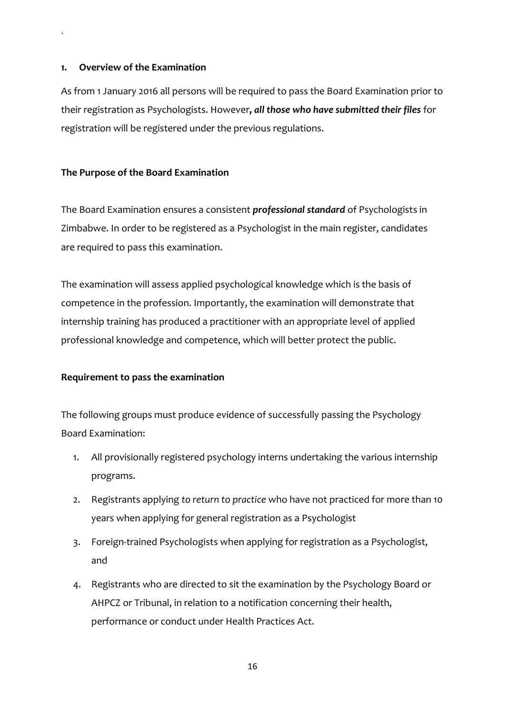#### **1. Overview of the Examination**

`

As from 1 January 2016 all persons will be required to pass the Board Examination prior to their registration as Psychologists. However**,** *all those who have submitted their files* for registration will be registered under the previous regulations.

#### **The Purpose of the Board Examination**

The Board Examination ensures a consistent *professional standard* of Psychologists in Zimbabwe. In order to be registered as a Psychologist in the main register, candidates are required to pass this examination.

The examination will assess applied psychological knowledge which is the basis of competence in the profession. Importantly, the examination will demonstrate that internship training has produced a practitioner with an appropriate level of applied professional knowledge and competence, which will better protect the public.

#### **Requirement to pass the examination**

The following groups must produce evidence of successfully passing the Psychology Board Examination:

- 1. All provisionally registered psychology interns undertaking the various internship programs.
- 2. Registrants applying *to return to practice* who have not practiced for more than 10 years when applying for general registration as a Psychologist
- 3. Foreign-trained Psychologists when applying for registration as a Psychologist, and
- 4. Registrants who are directed to sit the examination by the Psychology Board or AHPCZ or Tribunal, in relation to a notification concerning their health, performance or conduct under Health Practices Act.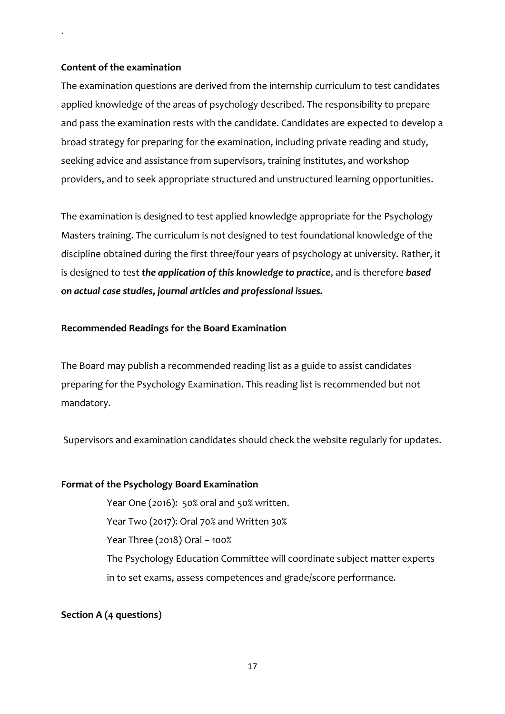#### **Content of the examination**

`

The examination questions are derived from the internship curriculum to test candidates applied knowledge of the areas of psychology described. The responsibility to prepare and pass the examination rests with the candidate. Candidates are expected to develop a broad strategy for preparing for the examination, including private reading and study, seeking advice and assistance from supervisors, training institutes, and workshop providers, and to seek appropriate structured and unstructured learning opportunities.

The examination is designed to test applied knowledge appropriate for the Psychology Masters training. The curriculum is not designed to test foundational knowledge of the discipline obtained during the first three/four years of psychology at university. Rather, it is designed to test *the application of this knowledge to practice*, and is therefore *based on actual case studies, journal articles and professional issues.*

#### **Recommended Readings for the Board Examination**

The Board may publish a recommended reading list as a guide to assist candidates preparing for the Psychology Examination. This reading list is recommended but not mandatory.

Supervisors and examination candidates should check the website regularly for updates.

#### **Format of the Psychology Board Examination**

Year One (2016): 50% oral and 50% written. Year Two (2017): Oral 70% and Written 30% Year Three (2018) Oral – 100% The Psychology Education Committee will coordinate subject matter experts in to set exams, assess competences and grade/score performance.

#### **Section A (4 questions)**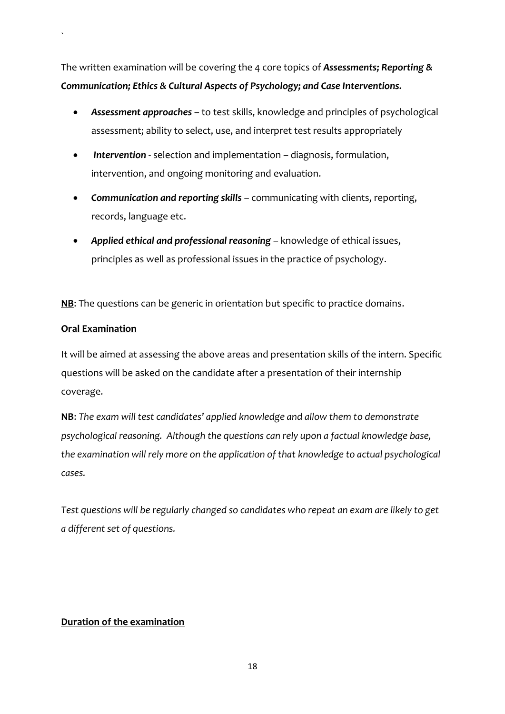The written examination will be covering the 4 core topics of *Assessments; Reporting & Communication; Ethics & Cultural Aspects of Psychology; and Case Interventions.*

- *Assessment approaches* to test skills, knowledge and principles of psychological assessment; ability to select, use, and interpret test results appropriately
- *Intervention* selection and implementation diagnosis, formulation, intervention, and ongoing monitoring and evaluation.
- *Communication and reporting skills* communicating with clients, reporting, records, language etc.
- *Applied ethical and professional reasoning* knowledge of ethical issues, principles as well as professional issues in the practice of psychology.

**NB**: The questions can be generic in orientation but specific to practice domains.

# **Oral Examination**

`

It will be aimed at assessing the above areas and presentation skills of the intern. Specific questions will be asked on the candidate after a presentation of their internship coverage.

**NB**: *The exam will test candidates' applied knowledge and allow them to demonstrate psychological reasoning. Although the questions can rely upon a factual knowledge base, the examination will rely more on the application of that knowledge to actual psychological cases.*

*Test questions will be regularly changed so candidates who repeat an exam are likely to get a different set of questions.* 

#### **Duration of the examination**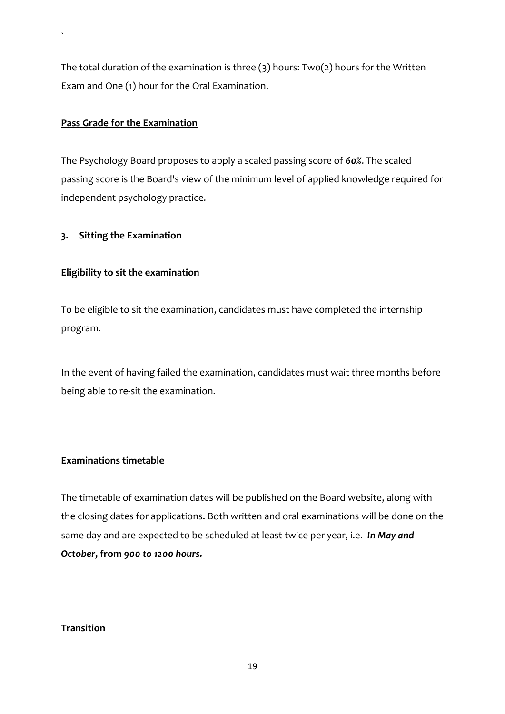The total duration of the examination is three (3) hours: Two(2) hours for the Written Exam and One (1) hour for the Oral Examination.

#### **Pass Grade for the Examination**

`

The Psychology Board proposes to apply a scaled passing score of *60%*. The scaled passing score is the Board's view of the minimum level of applied knowledge required for independent psychology practice.

#### **3. Sitting the Examination**

#### **Eligibility to sit the examination**

To be eligible to sit the examination, candidates must have completed the internship program.

In the event of having failed the examination, candidates must wait three months before being able to re-sit the examination.

#### **Examinations timetable**

The timetable of examination dates will be published on the Board website, along with the closing dates for applications. Both written and oral examinations will be done on the same day and are expected to be scheduled at least twice per year, i.e. *In May and October***, from** *900 to 1200 hours.*

#### **Transition**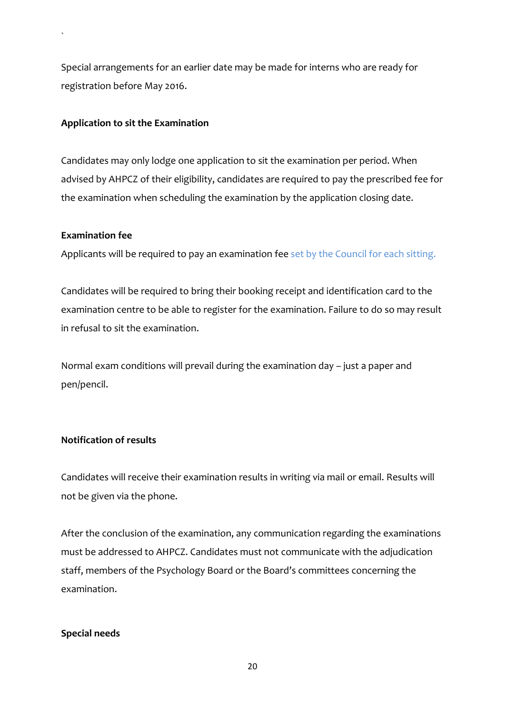Special arrangements for an earlier date may be made for interns who are ready for registration before May 2016.

#### **Application to sit the Examination**

Candidates may only lodge one application to sit the examination per period. When advised by AHPCZ of their eligibility, candidates are required to pay the prescribed fee for the examination when scheduling the examination by the application closing date.

#### **Examination fee**

`

Applicants will be required to pay an examination fee set by the Council for each sitting.

Candidates will be required to bring their booking receipt and identification card to the examination centre to be able to register for the examination. Failure to do so may result in refusal to sit the examination.

Normal exam conditions will prevail during the examination day – just a paper and pen/pencil.

#### **Notification of results**

Candidates will receive their examination results in writing via mail or email. Results will not be given via the phone.

After the conclusion of the examination, any communication regarding the examinations must be addressed to AHPCZ. Candidates must not communicate with the adjudication staff, members of the Psychology Board or the Board's committees concerning the examination.

#### **Special needs**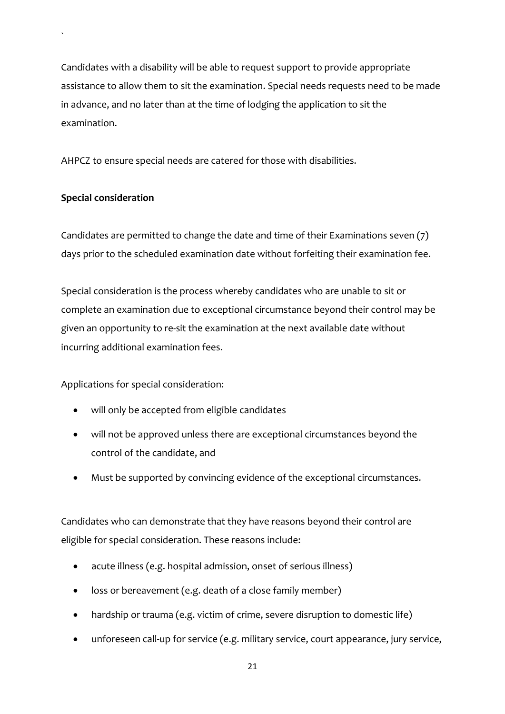Candidates with a disability will be able to request support to provide appropriate assistance to allow them to sit the examination. Special needs requests need to be made in advance, and no later than at the time of lodging the application to sit the examination.

AHPCZ to ensure special needs are catered for those with disabilities.

# **Special consideration**

`

Candidates are permitted to change the date and time of their Examinations seven (7) days prior to the scheduled examination date without forfeiting their examination fee.

Special consideration is the process whereby candidates who are unable to sit or complete an examination due to exceptional circumstance beyond their control may be given an opportunity to re-sit the examination at the next available date without incurring additional examination fees.

Applications for special consideration:

- will only be accepted from eligible candidates
- will not be approved unless there are exceptional circumstances beyond the control of the candidate, and
- Must be supported by convincing evidence of the exceptional circumstances.

Candidates who can demonstrate that they have reasons beyond their control are eligible for special consideration. These reasons include:

- acute illness (e.g. hospital admission, onset of serious illness)
- loss or bereavement (e.g. death of a close family member)
- hardship or trauma (e.g. victim of crime, severe disruption to domestic life)
- unforeseen call-up for service (e.g. military service, court appearance, jury service,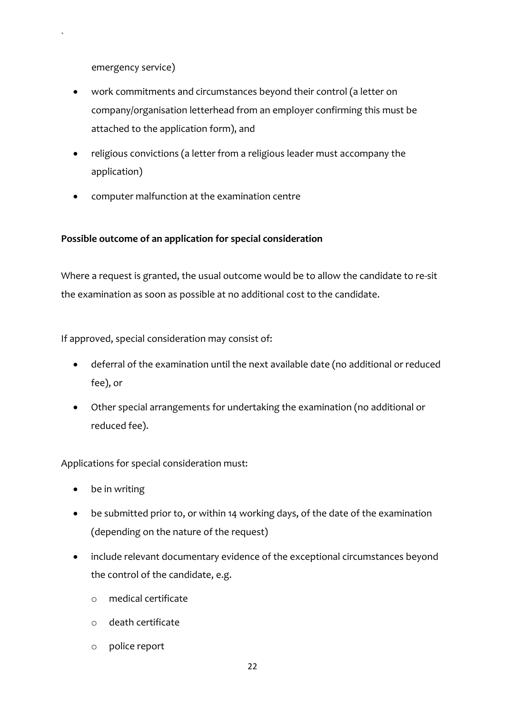emergency service)

`

- work commitments and circumstances beyond their control (a letter on company/organisation letterhead from an employer confirming this must be attached to the application form), and
- religious convictions (a letter from a religious leader must accompany the application)
- computer malfunction at the examination centre

# **Possible outcome of an application for special consideration**

Where a request is granted, the usual outcome would be to allow the candidate to re-sit the examination as soon as possible at no additional cost to the candidate.

If approved, special consideration may consist of:

- deferral of the examination until the next available date (no additional or reduced fee), or
- Other special arrangements for undertaking the examination (no additional or reduced fee).

Applications for special consideration must:

- be in writing
- be submitted prior to, or within 14 working days, of the date of the examination (depending on the nature of the request)
- include relevant documentary evidence of the exceptional circumstances beyond the control of the candidate, e.g.
	- o medical certificate
	- o death certificate
	- o police report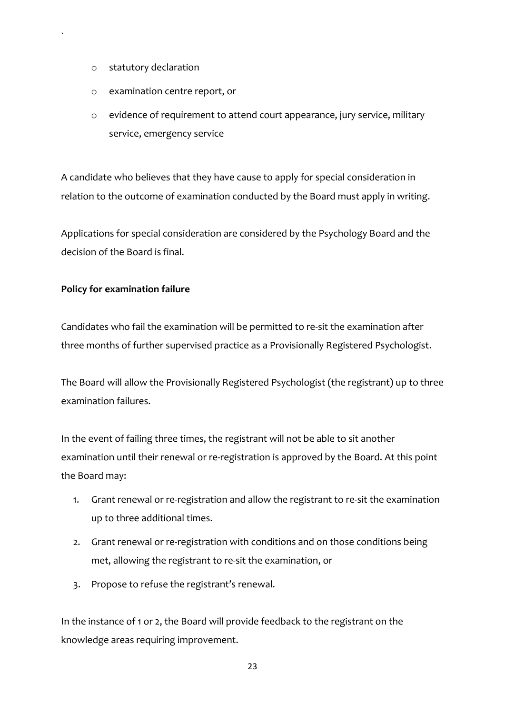o statutory declaration

`

- o examination centre report, or
- o evidence of requirement to attend court appearance, jury service, military service, emergency service

A candidate who believes that they have cause to apply for special consideration in relation to the outcome of examination conducted by the Board must apply in writing.

Applications for special consideration are considered by the Psychology Board and the decision of the Board is final.

#### **Policy for examination failure**

Candidates who fail the examination will be permitted to re-sit the examination after three months of further supervised practice as a Provisionally Registered Psychologist.

The Board will allow the Provisionally Registered Psychologist (the registrant) up to three examination failures.

In the event of failing three times, the registrant will not be able to sit another examination until their renewal or re-registration is approved by the Board. At this point the Board may:

- 1. Grant renewal or re-registration and allow the registrant to re-sit the examination up to three additional times.
- 2. Grant renewal or re-registration with conditions and on those conditions being met, allowing the registrant to re-sit the examination, or
- 3. Propose to refuse the registrant's renewal.

In the instance of 1 or 2, the Board will provide feedback to the registrant on the knowledge areas requiring improvement.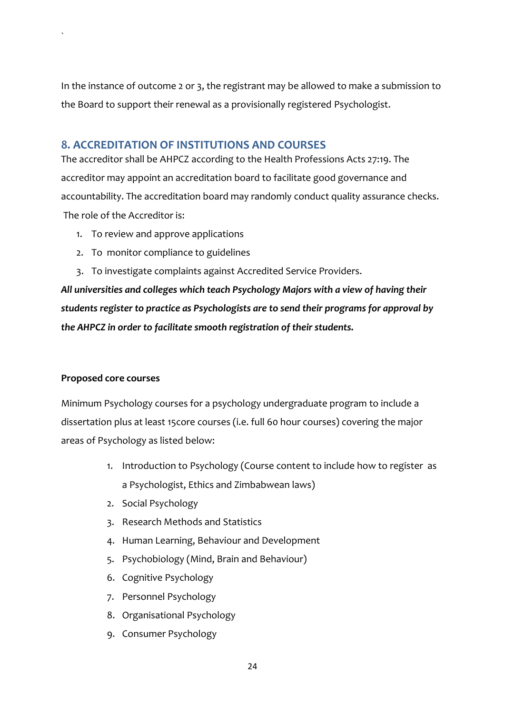In the instance of outcome 2 or 3, the registrant may be allowed to make a submission to the Board to support their renewal as a provisionally registered Psychologist.

# <span id="page-23-0"></span>**8. ACCREDITATION OF INSTITUTIONS AND COURSES**

The accreditor shall be AHPCZ according to the Health Professions Acts 27:19. The accreditor may appoint an accreditation board to facilitate good governance and accountability. The accreditation board may randomly conduct quality assurance checks. The role of the Accreditor is:

- 1. To review and approve applications
- 2. To monitor compliance to guidelines
- 3. To investigate complaints against Accredited Service Providers.

*All universities and colleges which teach Psychology Majors with a view of having their students register to practice as Psychologists are to send their programs for approval by the AHPCZ in order to facilitate smooth registration of their students.*

#### **Proposed core courses**

`

Minimum Psychology courses for a psychology undergraduate program to include a dissertation plus at least 15core courses (i.e. full 60 hour courses) covering the major areas of Psychology as listed below:

- 1. Introduction to Psychology (Course content to include how to register as a Psychologist, Ethics and Zimbabwean laws)
- 2. Social Psychology
- 3. Research Methods and Statistics
- 4. Human Learning, Behaviour and Development
- 5. Psychobiology (Mind, Brain and Behaviour)
- 6. Cognitive Psychology
- 7. Personnel Psychology
- 8. Organisational Psychology
- 9. Consumer Psychology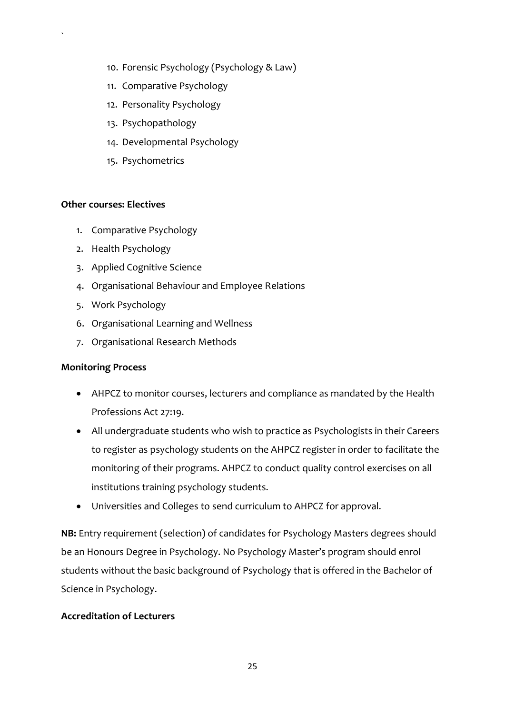- 10. Forensic Psychology (Psychology & Law)
- 11. Comparative Psychology
- 12. Personality Psychology
- 13. Psychopathology
- 14. Developmental Psychology
- 15. Psychometrics

#### **Other courses: Electives**

`

- 1. Comparative Psychology
- 2. Health Psychology
- 3. Applied Cognitive Science
- 4. Organisational Behaviour and Employee Relations
- 5. Work Psychology
- 6. Organisational Learning and Wellness
- 7. Organisational Research Methods

#### **Monitoring Process**

- AHPCZ to monitor courses, lecturers and compliance as mandated by the Health Professions Act 27:19.
- All undergraduate students who wish to practice as Psychologists in their Careers to register as psychology students on the AHPCZ register in order to facilitate the monitoring of their programs. AHPCZ to conduct quality control exercises on all institutions training psychology students.
- Universities and Colleges to send curriculum to AHPCZ for approval.

**NB:** Entry requirement (selection) of candidates for Psychology Masters degrees should be an Honours Degree in Psychology. No Psychology Master's program should enrol students without the basic background of Psychology that is offered in the Bachelor of Science in Psychology.

# **Accreditation of Lecturers**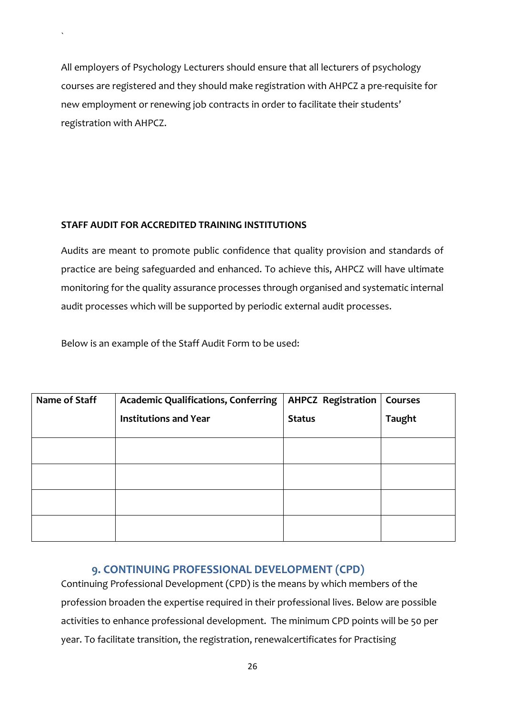All employers of Psychology Lecturers should ensure that all lecturers of psychology courses are registered and they should make registration with AHPCZ a pre-requisite for new employment or renewing job contracts in order to facilitate their students' registration with AHPCZ.

# **STAFF AUDIT FOR ACCREDITED TRAINING INSTITUTIONS**

 $\ddot{\phantom{0}}$ 

Audits are meant to promote public confidence that quality provision and standards of practice are being safeguarded and enhanced. To achieve this, AHPCZ will have ultimate monitoring for the quality assurance processes through organised and systematic internal audit processes which will be supported by periodic external audit processes.

Below is an example of the Staff Audit Form to be used:

| Name of Staff | <b>Academic Qualifications, Conferring</b> | <b>AHPCZ Registration</b> | Courses       |
|---------------|--------------------------------------------|---------------------------|---------------|
|               | <b>Institutions and Year</b>               | <b>Status</b>             | <b>Taught</b> |
|               |                                            |                           |               |
|               |                                            |                           |               |
|               |                                            |                           |               |
|               |                                            |                           |               |
|               |                                            |                           |               |

# **9. CONTINUING PROFESSIONAL DEVELOPMENT (CPD)**

<span id="page-25-0"></span>Continuing Professional Development (CPD) is the means by which members of the profession broaden the expertise required in their professional lives. Below are possible activities to enhance professional development. The minimum CPD points will be 50 per year. To facilitate transition, the registration, renewalcertificates for Practising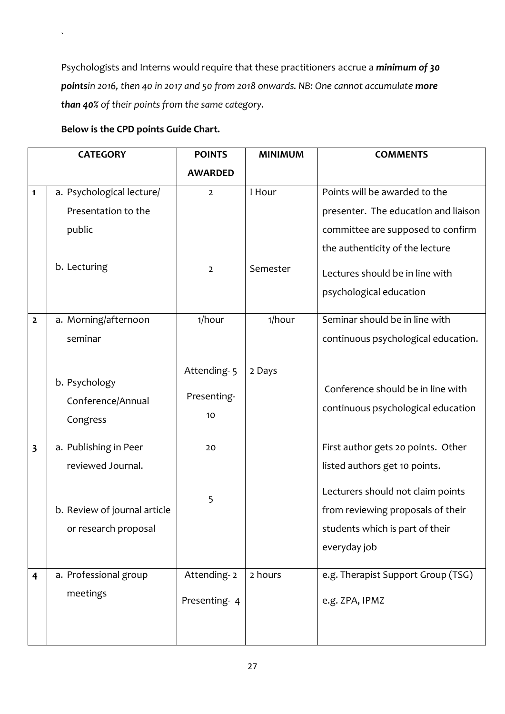Psychologists and Interns would require that these practitioners accrue a *minimum of 30 pointsin 2016, then 40 in 2017 and 50 from 2018 onwards. NB: One cannot accumulate more than 40% of their points from the same category.*

# **Below is the CPD points Guide Chart.**

 $\sqrt{2}$ 

|                | <b>CATEGORY</b>                                      | <b>POINTS</b>                    | <b>MINIMUM</b> | <b>COMMENTS</b>                                                                                                           |
|----------------|------------------------------------------------------|----------------------------------|----------------|---------------------------------------------------------------------------------------------------------------------------|
|                |                                                      | <b>AWARDED</b>                   |                |                                                                                                                           |
| 1              | a. Psychological lecture/                            | $\overline{2}$                   | I Hour         | Points will be awarded to the                                                                                             |
|                | Presentation to the                                  |                                  |                | presenter. The education and liaison                                                                                      |
|                | public                                               |                                  |                | committee are supposed to confirm                                                                                         |
|                |                                                      |                                  |                | the authenticity of the lecture                                                                                           |
|                | b. Lecturing                                         | $\overline{2}$                   | Semester       | Lectures should be in line with                                                                                           |
|                |                                                      |                                  |                | psychological education                                                                                                   |
| $\overline{2}$ | a. Morning/afternoon                                 | 1/hour                           | 1/hour         | Seminar should be in line with                                                                                            |
|                | seminar                                              |                                  |                | continuous psychological education.                                                                                       |
|                | b. Psychology<br>Conference/Annual<br>Congress       | Attending-5<br>Presenting-<br>10 | 2 Days         | Conference should be in line with<br>continuous psychological education                                                   |
| 3              | a. Publishing in Peer                                | 20                               |                | First author gets 20 points. Other                                                                                        |
|                | reviewed Journal.                                    |                                  |                | listed authors get 10 points.                                                                                             |
|                | b. Review of journal article<br>or research proposal | 5                                |                | Lecturers should not claim points<br>from reviewing proposals of their<br>students which is part of their<br>everyday job |
| 4              | a. Professional group                                | Attending-2                      | 2 hours        | e.g. Therapist Support Group (TSG)                                                                                        |
|                | meetings                                             | Presenting-4                     |                | e.g. ZPA, IPMZ                                                                                                            |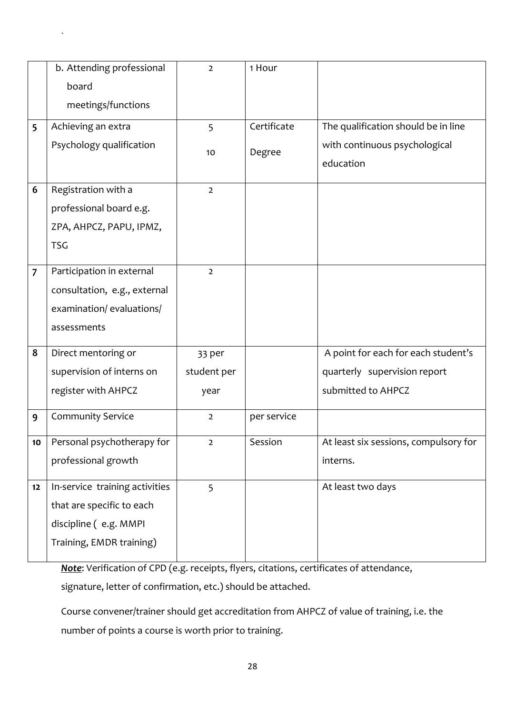|    | b. Attending professional      | $\overline{2}$ | 1 Hour      |                                       |
|----|--------------------------------|----------------|-------------|---------------------------------------|
|    | board                          |                |             |                                       |
|    | meetings/functions             |                |             |                                       |
| 5  | Achieving an extra             | 5              | Certificate | The qualification should be in line   |
|    | Psychology qualification       |                |             | with continuous psychological         |
|    |                                | 10             | Degree      |                                       |
|    |                                |                |             | education                             |
| 6  | Registration with a            | $\overline{2}$ |             |                                       |
|    | professional board e.g.        |                |             |                                       |
|    | ZPA, AHPCZ, PAPU, IPMZ,        |                |             |                                       |
|    | <b>TSG</b>                     |                |             |                                       |
|    |                                |                |             |                                       |
| 7  | Participation in external      | $\overline{2}$ |             |                                       |
|    | consultation, e.g., external   |                |             |                                       |
|    | examination/evaluations/       |                |             |                                       |
|    | assessments                    |                |             |                                       |
|    |                                |                |             |                                       |
| 8  | Direct mentoring or            | 33 per         |             | A point for each for each student's   |
|    | supervision of interns on      | student per    |             | quarterly supervision report          |
|    | register with AHPCZ            | year           |             | submitted to AHPCZ                    |
| 9  | <b>Community Service</b>       | $\overline{2}$ | per service |                                       |
| 10 | Personal psychotherapy for     | $\overline{2}$ | Session     | At least six sessions, compulsory for |
|    |                                |                |             |                                       |
|    | professional growth            |                |             | interns.                              |
| 12 | In-service training activities | 5              |             | At least two days                     |
|    | that are specific to each      |                |             |                                       |
|    | discipline (e.g. MMPI          |                |             |                                       |
|    | Training, EMDR training)       |                |             |                                       |
|    |                                |                |             |                                       |

`

*Note*: Verification of CPD (e.g. receipts, flyers, citations, certificates of attendance, signature, letter of confirmation, etc.) should be attached.

Course convener/trainer should get accreditation from AHPCZ of value of training, i.e. the number of points a course is worth prior to training.